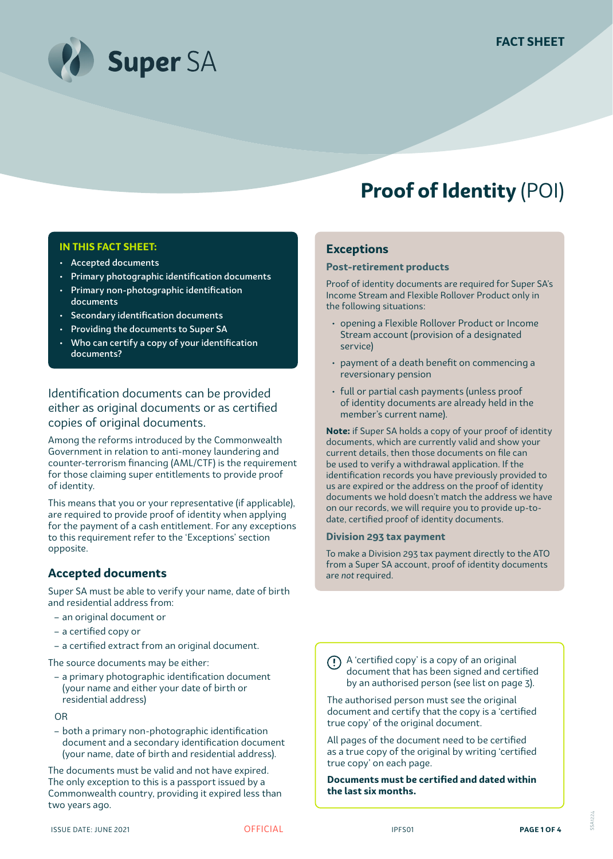

# **Proof of Identity** (POI)

#### **IN THIS FACT SHEET:**

- Accepted documents
- Primary photographic identification documents
- Primary non-photographic identification documents
- Secondary identification documents
- Providing the documents to Super SA
- Who can certify a copy of your identification documents?

Identification documents can be provided either as original documents or as certified copies of original documents.

Among the reforms introduced by the Commonwealth Government in relation to anti-money laundering and counter-terrorism financing (AML/CTF) is the requirement for those claiming super entitlements to provide proof of identity.

This means that you or your representative (if applicable), are required to provide proof of identity when applying for the payment of a cash entitlement. For any exceptions to this requirement refer to the 'Exceptions' section opposite.

#### **Accepted documents**

Super SA must be able to verify your name, date of birth and residential address from:

- an original document or
- a certified copy or
- a certified extract from an original document.

The source documents may be either:

- a primary photographic identification document (your name and either your date of birth or residential address)
- OR
- both a primary non-photographic identification document and a secondary identification document (your name, date of birth and residential address).

The documents must be valid and not have expired. The only exception to this is a passport issued by a Commonwealth country, providing it expired less than two years ago.

## **Exceptions**

#### **Post-retirement products**

Proof of identity documents are required for Super SA's Income Stream and Flexible Rollover Product only in the following situations:

- opening a Flexible Rollover Product or Income Stream account (provision of a designated service)
- payment of a death benefit on commencing a reversionary pension
- full or partial cash payments (unless proof of identity documents are already held in the member's current name).

**Note:** if Super SA holds a copy of your proof of identity documents, which are currently valid and show your current details, then those documents on file can be used to verify a withdrawal application. If the identification records you have previously provided to us are expired or the address on the proof of identity documents we hold doesn't match the address we have on our records, we will require you to provide up-todate, certified proof of identity documents.

#### **Division 293 tax payment**

To make a Division 293 tax payment directly to the ATO from a Super SA account, proof of identity documents are *not* required.

A 'certified copy' is a copy of an original document that has been signed and certified by an authorised person (see list on page 3).

The authorised person must see the original document and certify that the copy is a 'certified true copy' of the original document.

All pages of the document need to be certified as a true copy of the original by writing 'certified true copy' on each page.

**Documents must be certified and dated within the last six months.**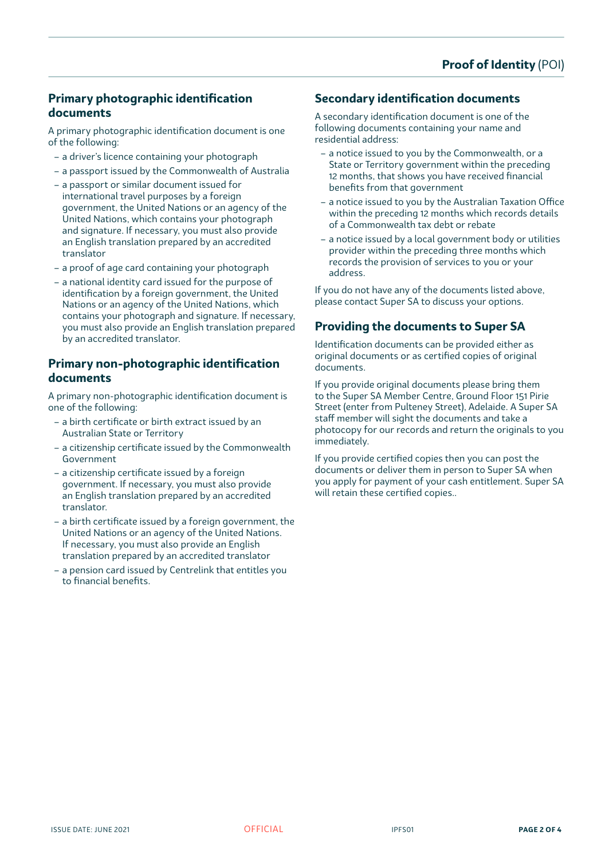## **Primary photographic identification documents**

A primary photographic identification document is one of the following:

- a driver's licence containing your photograph
- a passport issued by the Commonwealth of Australia
- a passport or similar document issued for international travel purposes by a foreign government, the United Nations or an agency of the United Nations, which contains your photograph and signature. If necessary, you must also provide an English translation prepared by an accredited translator
- a proof of age card containing your photograph
- a national identity card issued for the purpose of identification by a foreign government, the United Nations or an agency of the United Nations, which contains your photograph and signature. If necessary, you must also provide an English translation prepared by an accredited translator.

#### **Primary non-photographic identification documents**

A primary non-photographic identification document is one of the following:

- a birth certificate or birth extract issued by an Australian State or Territory
- a citizenship certificate issued by the Commonwealth Government
- a citizenship certificate issued by a foreign government. If necessary, you must also provide an English translation prepared by an accredited translator.
- a birth certificate issued by a foreign government, the United Nations or an agency of the United Nations. If necessary, you must also provide an English translation prepared by an accredited translator
- a pension card issued by Centrelink that entitles you to financial benefits.

## **Secondary identification documents**

A secondary identification document is one of the following documents containing your name and residential address:

- a notice issued to you by the Commonwealth, or a State or Territory government within the preceding 12 months, that shows you have received financial benefits from that government
- a notice issued to you by the Australian Taxation Office within the preceding 12 months which records details of a Commonwealth tax debt or rebate
- a notice issued by a local government body or utilities provider within the preceding three months which records the provision of services to you or your address.

If you do not have any of the documents listed above, please contact Super SA to discuss your options.

## **Providing the documents to Super SA**

Identification documents can be provided either as original documents or as certified copies of original documents.

If you provide original documents please bring them to the Super SA Member Centre, Ground Floor 151 Pirie Street (enter from Pulteney Street), Adelaide. A Super SA staff member will sight the documents and take a photocopy for our records and return the originals to you immediately.

If you provide certified copies then you can post the documents or deliver them in person to Super SA when you apply for payment of your cash entitlement. Super SA will retain these certified copies..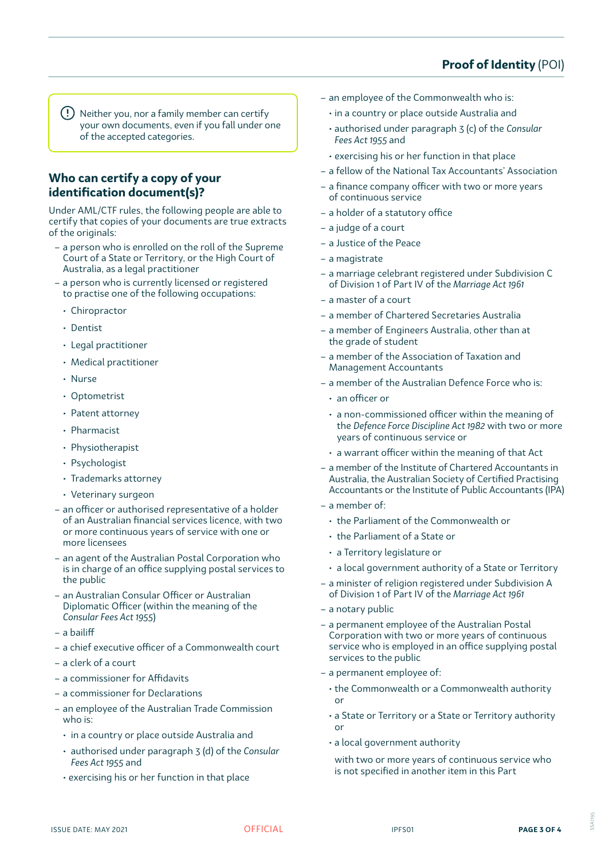# **Proof of Identity** (POI)

Neither you, nor a family member can certify your own documents, even if you fall under one of the accepted categories.

## **Who can certify a copy of your identification document(s)?**

Under AML/CTF rules, the following people are able to certify that copies of your documents are true extracts of the originals:

- a person who is enrolled on the roll of the Supreme Court of a State or Territory, or the High Court of Australia, as a legal practitioner
- a person who is currently licensed or registered to practise one of the following occupations:
	- Chiropractor
	- Dentist
	- Legal practitioner
	- Medical practitioner
	- Nurse
	- Optometrist
	- Patent attorney
	- Pharmacist
	- Physiotherapist
	- Psychologist
	- Trademarks attorney
	- Veterinary surgeon
- an officer or authorised representative of a holder of an Australian financial services licence, with two or more continuous years of service with one or more licensees
- an agent of the Australian Postal Corporation who is in charge of an office supplying postal services to the public
- an Australian Consular Officer or Australian Diplomatic Officer (within the meaning of the *Consular Fees Act 1955*)
- a bailiff
- a chief executive officer of a Commonwealth court
- a clerk of a court
- a commissioner for Affidavits
- a commissioner for Declarations
- an employee of the Australian Trade Commission who is:
	- in a country or place outside Australia and
	- authorised under paragraph 3 (d) of the *Consular Fees Act 1955* and
	- exercising his or her function in that place
- an employee of the Commonwealth who is:
	- in a country or place outside Australia and
	- authorised under paragraph 3 (c) of the *Consular Fees Act 1955* and
	- exercising his or her function in that place
- a fellow of the National Tax Accountants' Association
- a finance company officer with two or more years of continuous service
- a holder of a statutory office
- a judge of a court
- a Justice of the Peace
- a magistrate
- a marriage celebrant registered under Subdivision C of Division 1 of Part IV of the *Marriage Act 1961*
- a master of a court
- a member of Chartered Secretaries Australia
- a member of Engineers Australia, other than at the grade of student
- a member of the Association of Taxation and Management Accountants
- a member of the Australian Defence Force who is:
	- an officer or
	- a non-commissioned officer within the meaning of the *Defence Force Discipline Act 1982* with two or more years of continuous service or
	- a warrant officer within the meaning of that Act
- a member of the Institute of Chartered Accountants in Australia, the Australian Society of Certified Practising Accountants or the Institute of Public Accountants (IPA)
- a member of:
	- the Parliament of the Commonwealth or
	- the Parliament of a State or
	- a Territory legislature or
	- a local government authority of a State or Territory
- a minister of religion registered under Subdivision A of Division 1 of Part IV of the *Marriage Act 1961*
- a notary public
- a permanent employee of the Australian Postal Corporation with two or more years of continuous service who is employed in an office supplying postal services to the public
- a permanent employee of:
	- the Commonwealth or a Commonwealth authority or
	- a State or Territory or a State or Territory authority or
	- a local government authority
	- with two or more years of continuous service who is not specified in another item in this Part